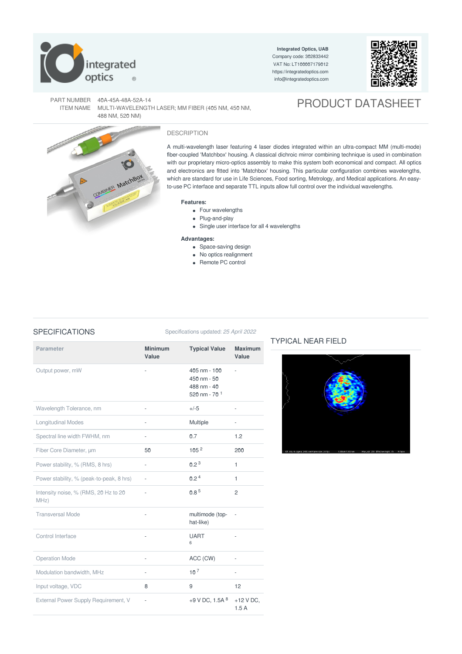

**Integrated Optics, UAB** Company code: 302833442 VAT No: LT100007179012 <https://integratedoptics.com> info@integratedoptics.com



PRODUCT DATASHEET

PART NUMBER 40A-45A-48A-52A-14 ITEM NAME MULTI-WAVELENGTH LASER; MM FIBER (405 NM, 450 NM, 488 NM, 520 NM)





# DESCRIPTION

A multi-wavelength laser featuring 4 laser diodes integrated within an ultra-compact MM (multi-mode) fiber-coupled 'Matchbox' housing. A classical dichroic mirror combining technique is used in combination with our proprietary micro-optics assembly to make this system both economical and compact. All optics and electronics are fitted into 'Matchbox' housing. This particular configuration combines wavelengths, which are standard for use in Life Sciences, Food sorting, Metrology, and Medical applications. An easyto-use PC interface and separate TTL inputs allow full control over the individual wavelengths.

### **Features:**

- Four wavelengths
- Plug-and-play
- Single user interface for all 4 wavelengths

# **Advantages:**

- Space-saving design
- No optics realignment
- Remote PC control

# SPECIFICATIONS Specifications updated: 25 April 2022

| <b>Parameter</b>                             | <b>Minimum</b><br>Value | <b>Typical Value</b>                                                              | <b>Maximum</b><br>Value |
|----------------------------------------------|-------------------------|-----------------------------------------------------------------------------------|-------------------------|
| Output power, mW                             |                         | $405 \text{ nm} - 100$<br>$450 \text{ nm} - 50$<br>488 nm - 40<br>520 nm - 70 $1$ |                         |
| Wavelength Tolerance, nm                     |                         | $+/-5$                                                                            |                         |
| <b>Longitudinal Modes</b>                    |                         | Multiple                                                                          |                         |
| Spectral line width FWHM, nm                 |                         | 0.7                                                                               | 1.2                     |
| Fiber Core Diameter, um                      | 50                      | 105 <sup>2</sup>                                                                  | 200                     |
| Power stability, % (RMS, 8 hrs)              | ä,                      | 0.2 <sup>3</sup>                                                                  | $\mathbf{1}$            |
| Power stability, % (peak-to-peak, 8 hrs)     | ÷,                      | 0.2 <sup>4</sup>                                                                  | 1                       |
| Intensity noise, % (RMS, 20 Hz to 20<br>MHz) | ä,                      | 0.8 <sup>5</sup>                                                                  | $\overline{c}$          |
| <b>Transversal Mode</b>                      |                         | multimode (top-<br>hat-like)                                                      |                         |
| Control Interface                            |                         | <b>UART</b><br>6                                                                  |                         |
| <b>Operation Mode</b>                        |                         | ACC (CW)                                                                          |                         |
| Modulation bandwidth, MHz                    | ä,                      | 10 <sup>7</sup>                                                                   | ÷,                      |
| Input voltage, VDC                           | 8                       | 9                                                                                 | 12                      |
| External Power Supply Requirement, V         |                         | +9 V DC, 1.5A $8$                                                                 | $+12$ V DC,<br>1.5A     |

# TYPICAL NEAR FIELD